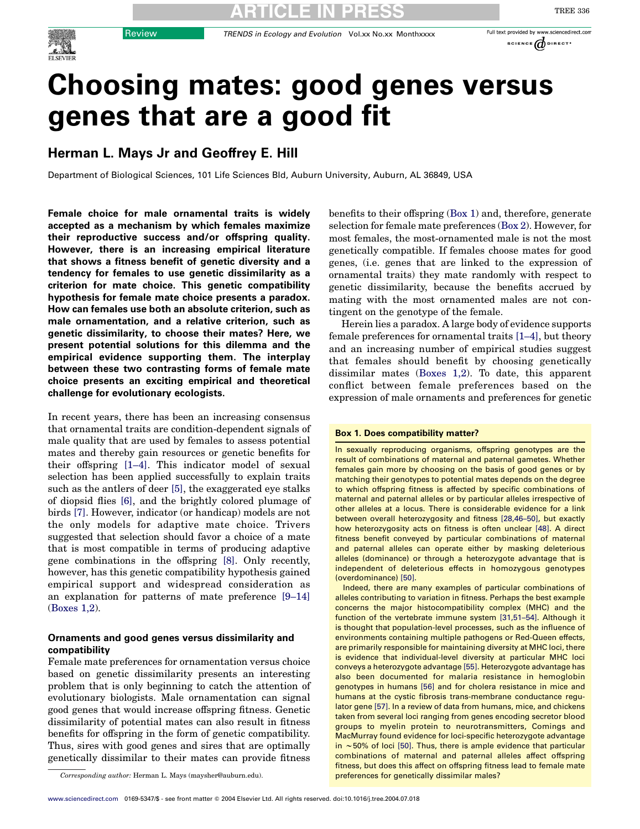

SCIENCE  $\phi$  DIRECT'

TREE 336

# Choosing mates: good genes versus genes that are a good fit

# Herman L. Mays Jr and Geoffrey E. Hill

Department of Biological Sciences, 101 Life Sciences Bld, Auburn University, Auburn, AL 36849, USA

Female choice for male ornamental traits is widely accepted as a mechanism by which females maximize their reproductive success and/or offspring quality. However, there is an increasing empirical literature that shows a fitness benefit of genetic diversity and a tendency for females to use genetic dissimilarity as a criterion for mate choice. This genetic compatibility hypothesis for female mate choice presents a paradox. How can females use both an absolute criterion, such as male ornamentation, and a relative criterion, such as genetic dissimilarity, to choose their mates? Here, we present potential solutions for this dilemma and the empirical evidence supporting them. The interplay between these two contrasting forms of female mate choice presents an exciting empirical and theoretical challenge for evolutionary ecologists.

In recent years, there has been an increasing consensus that ornamental traits are condition-dependent signals of male quality that are used by females to assess potential mates and thereby gain resources or genetic benefits for their offspring [\[1–4\]](#page-4-0). This indicator model of sexual selection has been applied successfully to explain traits such as the antlers of deer [\[5\]](#page-4-0), the exaggerated eye stalks of diopsid flies [\[6\],](#page-4-0) and the brightly colored plumage of birds [\[7\]](#page-4-0). However, indicator (or handicap) models are not the only models for adaptive mate choice. Trivers suggested that selection should favor a choice of a mate that is most compatible in terms of producing adaptive gene combinations in the offspring [\[8\].](#page-4-0) Only recently, however, has this genetic compatibility hypothesis gained empirical support and widespread consideration as an explanation for patterns of mate preference [\[9–14\]](#page-4-0) (Boxes 1,2).

# Ornaments and good genes versus dissimilarity and compatibility

Female mate preferences for ornamentation versus choice based on genetic dissimilarity presents an interesting problem that is only beginning to catch the attention of evolutionary biologists. Male ornamentation can signal good genes that would increase offspring fitness. Genetic dissimilarity of potential mates can also result in fitness benefits for offspring in the form of genetic compatibility. Thus, sires with good genes and sires that are optimally genetically dissimilar to their mates can provide fitness

Corresponding author: Herman L. Mays (maysher@auburn.edu). preferences for genetically dissimilar males?

benefits to their offspring (Box 1) and, therefore, generate selection for female mate preferences (Box 2). However, for most females, the most-ornamented male is not the most genetically compatible. If females choose mates for good genes, (i.e. genes that are linked to the expression of ornamental traits) they mate randomly with respect to genetic dissimilarity, because the benefits accrued by mating with the most ornamented males are not contingent on the genotype of the female.

Herein lies a paradox. A large body of evidence supports female preferences for ornamental traits [\[1–4\]](#page-4-0), but theory and an increasing number of empirical studies suggest that females should benefit by choosing genetically dissimilar mates (Boxes 1,2). To date, this apparent conflict between female preferences based on the expression of male ornaments and preferences for genetic

#### Box 1. Does compatibility matter?

In sexually reproducing organisms, offspring genotypes are the result of combinations of maternal and paternal gametes. Whether females gain more by choosing on the basis of good genes or by matching their genotypes to potential mates depends on the degree to which offspring fitness is affected by specific combinations of maternal and paternal alleles or by particular alleles irrespective of other alleles at a locus. There is considerable evidence for a link between overall heterozygosity and fitness [\[28,46–50\],](#page-4-0) but exactly how heterozygosity acts on fitness is often unclear [\[48\].](#page-5-0) A direct fitness benefit conveyed by particular combinations of maternal and paternal alleles can operate either by masking deleterious alleles (dominance) or through a heterozygote advantage that is independent of deleterious effects in homozygous genotypes (overdominance) [\[50\].](#page-5-0)

Indeed, there are many examples of particular combinations of alleles contributing to variation in fitness. Perhaps the best example concerns the major histocompatibility complex (MHC) and the function of the vertebrate immune system [\[31,51–54\].](#page-4-0) Although it is thought that population-level processes, such as the influence of environments containing multiple pathogens or Red-Queen effects, are primarily responsible for maintaining diversity at MHC loci, there is evidence that individual-level diversity at particular MHC loci conveys a heterozygote advantage [\[55\].](#page-5-0) Heterozygote advantage has also been documented for malaria resistance in hemoglobin genotypes in humans [\[56\]](#page-5-0) and for cholera resistance in mice and humans at the cystic fibrosis trans-membrane conductance requlator gene [\[57\]](#page-5-0). In a review of data from humans, mice, and chickens taken from several loci ranging from genes encoding secretor blood groups to myelin protein to neurotransmitters, Comings and MacMurray found evidence for loci-specific heterozygote advantage in ~50% of loci [\[50\].](#page-5-0) Thus, there is ample evidence that particular combinations of maternal and paternal alleles affect offspring fitness, but does this affect on offspring fitness lead to female mate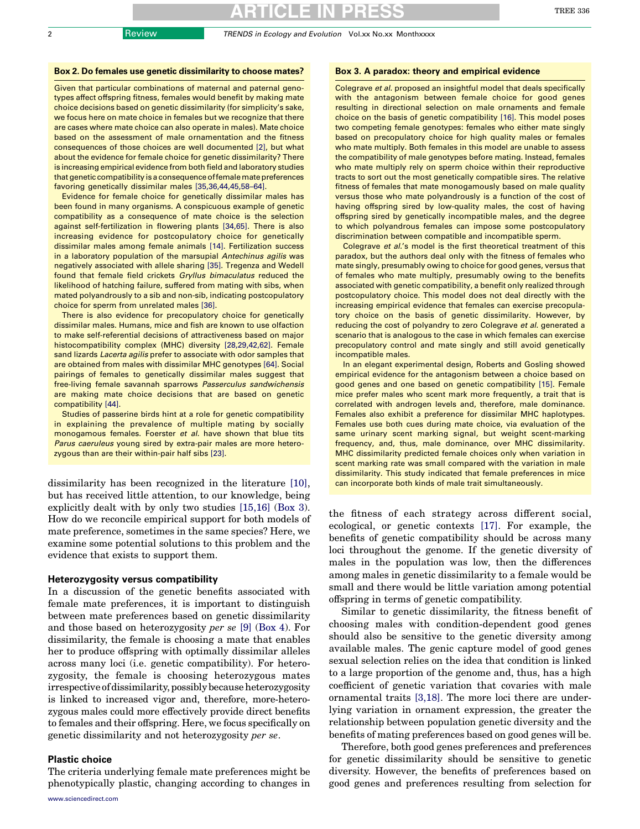#### Box 2. Do females use genetic dissimilarity to choose mates?

Given that particular combinations of maternal and paternal genotypes affect offspring fitness, females would benefit by making mate choice decisions based on genetic dissimilarity (for simplicity's sake, we focus here on mate choice in females but we recognize that there are cases where mate choice can also operate in males). Mate choice based on the assessment of male ornamentation and the fitness consequences of those choices are well documented [\[2\]](#page-4-0), but what about the evidence for female choice for genetic dissimilarity? There is increasing empirical evidence from both field and laboratory studies that genetic compatibility is a consequence of female mate preferences favoring genetically dissimilar males [\[35,36,44,45,58–64\]](#page-4-0).

Evidence for female choice for genetically dissimilar males has been found in many organisms. A conspicuous example of genetic compatibility as a consequence of mate choice is the selection against self-fertilization in flowering plants [\[34,65\].](#page-4-0) There is also increasing evidence for postcopulatory choice for genetically dissimilar males among female animals [\[14\].](#page-4-0) Fertilization success in a laboratory population of the marsupial Antechinus agilis was negatively associated with allele sharing [\[35\]](#page-4-0). Tregenza and Wedell found that female field crickets Gryllus bimaculatus reduced the likelihood of hatching failure, suffered from mating with sibs, when mated polyandrously to a sib and non-sib, indicating postcopulatory choice for sperm from unrelated males [\[36\].](#page-4-0)

There is also evidence for precopulatory choice for genetically dissimilar males. Humans, mice and fish are known to use olfaction to make self-referential decisions of attractiveness based on major histocompatibility complex (MHC) diversity [\[28,29,42,62\]](#page-4-0). Female sand lizards Lacerta agilis prefer to associate with odor samples that are obtained from males with dissimilar MHC genotypes [\[64\]](#page-5-0). Social pairings of females to genetically dissimilar males suggest that free-living female savannah sparrows Passerculus sandwichensis are making mate choice decisions that are based on genetic compatibility [\[44\].](#page-4-0)

Studies of passerine birds hint at a role for genetic compatibility in explaining the prevalence of multiple mating by socially monogamous females. Foerster et al. have shown that blue tits Parus caeruleus young sired by extra-pair males are more heterozygous than are their within-pair half sibs [\[23\].](#page-4-0)

dissimilarity has been recognized in the literature [\[10\]](#page-4-0), but has received little attention, to our knowledge, being explicitly dealt with by only two studies [\[15,16\]](#page-4-0) (Box 3). How do we reconcile empirical support for both models of mate preference, sometimes in the same species? Here, we examine some potential solutions to this problem and the evidence that exists to support them.

#### Heterozygosity versus compatibility

In a discussion of the genetic benefits associated with female mate preferences, it is important to distinguish between mate preferences based on genetic dissimilarity and those based on heterozygosity per se [\[9\]](#page-4-0) (Box 4). For dissimilarity, the female is choosing a mate that enables her to produce offspring with optimally dissimilar alleles across many loci (i.e. genetic compatibility). For heterozygosity, the female is choosing heterozygous mates irrespective of dissimilarity, possibly because heterozygosity is linked to increased vigor and, therefore, more-heterozygous males could more effectively provide direct benefits to females and their offspring. Here, we focus specifically on genetic dissimilarity and not heterozygosity per se.

### Plastic choice

The criteria underlying female mate preferences might be phenotypically plastic, changing according to changes in

### Box 3. A paradox: theory and empirical evidence

Colegrave et al. proposed an insightful model that deals specifically with the antagonism between female choice for good genes resulting in directional selection on male ornaments and female choice on the basis of genetic compatibility [\[16\]](#page-4-0). This model poses two competing female genotypes: females who either mate singly based on precopulatory choice for high quality males or females who mate multiply. Both females in this model are unable to assess the compatibility of male genotypes before mating. Instead, females who mate multiply rely on sperm choice within their reproductive tracts to sort out the most genetically compatible sires. The relative fitness of females that mate monogamously based on male quality versus those who mate polyandrously is a function of the cost of having offspring sired by low-quality males, the cost of having offspring sired by genetically incompatible males, and the degree to which polyandrous females can impose some postcopulatory discrimination between compatible and incompatible sperm.

Colegrave et al.'s model is the first theoretical treatment of this paradox, but the authors deal only with the fitness of females who mate singly, presumably owing to choice for good genes, versus that of females who mate multiply, presumably owing to the benefits associated with genetic compatibility, a benefit only realized through postcopulatory choice. This model does not deal directly with the increasing empirical evidence that females can exercise precopulatory choice on the basis of genetic dissimilarity. However, by reducing the cost of polyandry to zero Colegrave et al. generated a scenario that is analogous to the case in which females can exercise precopulatory control and mate singly and still avoid genetically incompatible males.

In an elegant experimental design, Roberts and Gosling showed empirical evidence for the antagonism between a choice based on good genes and one based on genetic compatibility [\[15\].](#page-4-0) Female mice prefer males who scent mark more frequently, a trait that is correlated with androgen levels and, therefore, male dominance. Females also exhibit a preference for dissimilar MHC haplotypes. Females use both cues during mate choice, via evaluation of the same urinary scent marking signal, but weight scent-marking frequency, and, thus, male dominance, over MHC dissimilarity. MHC dissimilarity predicted female choices only when variation in scent marking rate was small compared with the variation in male dissimilarity. This study indicated that female preferences in mice can incorporate both kinds of male trait simultaneously.

the fitness of each strategy across different social, ecological, or genetic contexts [\[17\].](#page-4-0) For example, the benefits of genetic compatibility should be across many loci throughout the genome. If the genetic diversity of males in the population was low, then the differences among males in genetic dissimilarity to a female would be small and there would be little variation among potential offspring in terms of genetic compatibility.

Similar to genetic dissimilarity, the fitness benefit of choosing males with condition-dependent good genes should also be sensitive to the genetic diversity among available males. The genic capture model of good genes sexual selection relies on the idea that condition is linked to a large proportion of the genome and, thus, has a high coefficient of genetic variation that covaries with male ornamental traits [\[3,18\]](#page-4-0). The more loci there are underlying variation in ornament expression, the greater the relationship between population genetic diversity and the benefits of mating preferences based on good genes will be.

Therefore, both good genes preferences and preferences for genetic dissimilarity should be sensitive to genetic diversity. However, the benefits of preferences based on good genes and preferences resulting from selection for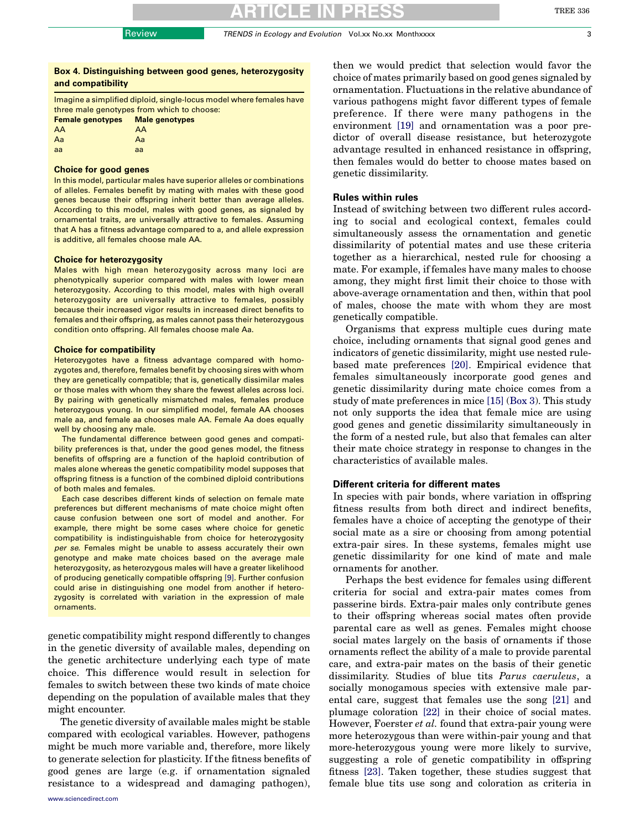# Box 4. Distinguishing between good genes, heterozygosity and compatibility

Imagine a simplified diploid, single-locus model where females have three male genotypes from which to choose: Female genotypes Male genotypes AA AA

| Aa | Aa |
|----|----|
| aa | aa |

# Choice for good genes

In this model, particular males have superior alleles or combinations of alleles. Females benefit by mating with males with these good genes because their offspring inherit better than average alleles. According to this model, males with good genes, as signaled by ornamental traits, are universally attractive to females. Assuming that A has a fitness advantage compared to a, and allele expression is additive, all females choose male AA.

#### Choice for heterozygosity

Males with high mean heterozygosity across many loci are phenotypically superior compared with males with lower mean heterozygosity. According to this model, males with high overall heterozygosity are universally attractive to females, possibly because their increased vigor results in increased direct benefits to females and their offspring, as males cannot pass their heterozygous condition onto offspring. All females choose male Aa.

#### Choice for compatibility

Heterozygotes have a fitness advantage compared with homozygotes and, therefore, females benefit by choosing sires with whom they are genetically compatible; that is, genetically dissimilar males or those males with whom they share the fewest alleles across loci. By pairing with genetically mismatched males, females produce heterozygous young. In our simplified model, female AA chooses male aa, and female aa chooses male AA. Female Aa does equally well by choosing any male.

The fundamental difference between good genes and compatibility preferences is that, under the good genes model, the fitness benefits of offspring are a function of the haploid contribution of males alone whereas the genetic compatibility model supposes that offspring fitness is a function of the combined diploid contributions of both males and females.

Each case describes different kinds of selection on female mate preferences but different mechanisms of mate choice might often cause confusion between one sort of model and another. For example, there might be some cases where choice for genetic compatibility is indistinguishable from choice for heterozygosity per se. Females might be unable to assess accurately their own genotype and make mate choices based on the average male heterozygosity, as heterozygous males will have a greater likelihood of producing genetically compatible offspring [\[9\].](#page-4-0) Further confusion could arise in distinguishing one model from another if heterozygosity is correlated with variation in the expression of male ornaments.

genetic compatibility might respond differently to changes in the genetic diversity of available males, depending on the genetic architecture underlying each type of mate choice. This difference would result in selection for females to switch between these two kinds of mate choice depending on the population of available males that they might encounter.

The genetic diversity of available males might be stable compared with ecological variables. However, pathogens might be much more variable and, therefore, more likely to generate selection for plasticity. If the fitness benefits of good genes are large (e.g. if ornamentation signaled resistance to a widespread and damaging pathogen),

then we would predict that selection would favor the choice of mates primarily based on good genes signaled by ornamentation. Fluctuations in the relative abundance of various pathogens might favor different types of female preference. If there were many pathogens in the environment [\[19\]](#page-4-0) and ornamentation was a poor predictor of overall disease resistance, but heterozygote advantage resulted in enhanced resistance in offspring, then females would do better to choose mates based on genetic dissimilarity.

# Rules within rules

Instead of switching between two different rules according to social and ecological context, females could simultaneously assess the ornamentation and genetic dissimilarity of potential mates and use these criteria together as a hierarchical, nested rule for choosing a mate. For example, if females have many males to choose among, they might first limit their choice to those with above-average ornamentation and then, within that pool of males, choose the mate with whom they are most genetically compatible.

Organisms that express multiple cues during mate choice, including ornaments that signal good genes and indicators of genetic dissimilarity, might use nested rulebased mate preferences [\[20\]](#page-4-0). Empirical evidence that females simultaneously incorporate good genes and genetic dissimilarity during mate choice comes from a study of mate preferences in mice [\[15\]](#page-4-0) (Box 3). This study not only supports the idea that female mice are using good genes and genetic dissimilarity simultaneously in the form of a nested rule, but also that females can alter their mate choice strategy in response to changes in the characteristics of available males.

# Different criteria for different mates

In species with pair bonds, where variation in offspring fitness results from both direct and indirect benefits, females have a choice of accepting the genotype of their social mate as a sire or choosing from among potential extra-pair sires. In these systems, females might use genetic dissimilarity for one kind of mate and male ornaments for another.

Perhaps the best evidence for females using different criteria for social and extra-pair mates comes from passerine birds. Extra-pair males only contribute genes to their offspring whereas social mates often provide parental care as well as genes. Females might choose social mates largely on the basis of ornaments if those ornaments reflect the ability of a male to provide parental care, and extra-pair mates on the basis of their genetic dissimilarity. Studies of blue tits Parus caeruleus, a socially monogamous species with extensive male parental care, suggest that females use the song [\[21\]](#page-4-0) and plumage coloration [\[22\]](#page-4-0) in their choice of social mates. However, Foerster et al. found that extra-pair young were more heterozygous than were within-pair young and that more-heterozygous young were more likely to survive, suggesting a role of genetic compatibility in offspring fitness [\[23\].](#page-4-0) Taken together, these studies suggest that female blue tits use song and coloration as criteria in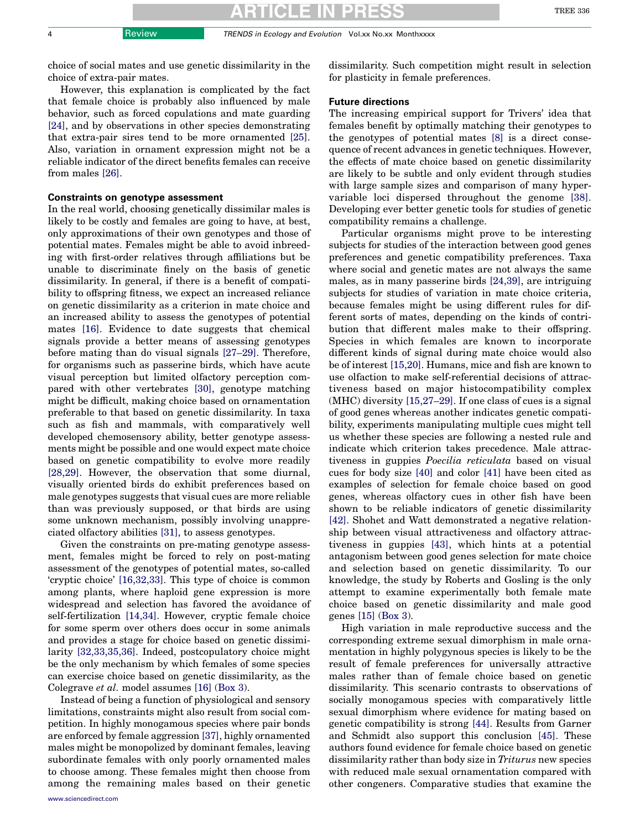choice of social mates and use genetic dissimilarity in the choice of extra-pair mates.

However, this explanation is complicated by the fact that female choice is probably also influenced by male behavior, such as forced copulations and mate guarding [\[24\],](#page-4-0) and by observations in other species demonstrating that extra-pair sires tend to be more ornamented [\[25\]](#page-4-0). Also, variation in ornament expression might not be a reliable indicator of the direct benefits females can receive from males [\[26\]](#page-4-0).

# Constraints on genotype assessment

In the real world, choosing genetically dissimilar males is likely to be costly and females are going to have, at best, only approximations of their own genotypes and those of potential mates. Females might be able to avoid inbreeding with first-order relatives through affiliations but be unable to discriminate finely on the basis of genetic dissimilarity. In general, if there is a benefit of compatibility to offspring fitness, we expect an increased reliance on genetic dissimilarity as a criterion in mate choice and an increased ability to assess the genotypes of potential mates [\[16\]](#page-4-0). Evidence to date suggests that chemical signals provide a better means of assessing genotypes before mating than do visual signals [\[27–29\]](#page-4-0). Therefore, for organisms such as passerine birds, which have acute visual perception but limited olfactory perception compared with other vertebrates [\[30\],](#page-4-0) genotype matching might be difficult, making choice based on ornamentation preferable to that based on genetic dissimilarity. In taxa such as fish and mammals, with comparatively well developed chemosensory ability, better genotype assessments might be possible and one would expect mate choice based on genetic compatibility to evolve more readily [\[28,29\].](#page-4-0) However, the observation that some diurnal, visually oriented birds do exhibit preferences based on male genotypes suggests that visual cues are more reliable than was previously supposed, or that birds are using some unknown mechanism, possibly involving unappreciated olfactory abilities [\[31\]](#page-4-0), to assess genotypes.

Given the constraints on pre-mating genotype assessment, females might be forced to rely on post-mating assessment of the genotypes of potential mates, so-called 'cryptic choice' [\[16,32,33\]](#page-4-0). This type of choice is common among plants, where haploid gene expression is more widespread and selection has favored the avoidance of self-fertilization [\[14,34\].](#page-4-0) However, cryptic female choice for some sperm over others does occur in some animals and provides a stage for choice based on genetic dissimilarity [\[32,33,35,36\].](#page-4-0) Indeed, postcopulatory choice might be the only mechanism by which females of some species can exercise choice based on genetic dissimilarity, as the Colegrave et al. model assumes [\[16\]](#page-4-0) (Box 3).

Instead of being a function of physiological and sensory limitations, constraints might also result from social competition. In highly monogamous species where pair bonds are enforced by female aggression [\[37\],](#page-4-0) highly ornamented males might be monopolized by dominant females, leaving subordinate females with only poorly ornamented males to choose among. These females might then choose from among the remaining males based on their genetic dissimilarity. Such competition might result in selection for plasticity in female preferences.

### Future directions

The increasing empirical support for Trivers' idea that females benefit by optimally matching their genotypes to the genotypes of potential mates [\[8\]](#page-4-0) is a direct consequence of recent advances in genetic techniques. However, the effects of mate choice based on genetic dissimilarity are likely to be subtle and only evident through studies with large sample sizes and comparison of many hypervariable loci dispersed throughout the genome [\[38\]](#page-4-0). Developing ever better genetic tools for studies of genetic compatibility remains a challenge.

Particular organisms might prove to be interesting subjects for studies of the interaction between good genes preferences and genetic compatibility preferences. Taxa where social and genetic mates are not always the same males, as in many passerine birds [\[24,39\]](#page-4-0), are intriguing subjects for studies of variation in mate choice criteria, because females might be using different rules for different sorts of mates, depending on the kinds of contribution that different males make to their offspring. Species in which females are known to incorporate different kinds of signal during mate choice would also be of interest [\[15,20\]](#page-4-0). Humans, mice and fish are known to use olfaction to make self-referential decisions of attractiveness based on major histocompatibility complex (MHC) diversity [\[15,27–29\].](#page-4-0) If one class of cues is a signal of good genes whereas another indicates genetic compatibility, experiments manipulating multiple cues might tell us whether these species are following a nested rule and indicate which criterion takes precedence. Male attractiveness in guppies Poecilia reticulata based on visual cues for body size [\[40\]](#page-4-0) and color [\[41\]](#page-4-0) have been cited as examples of selection for female choice based on good genes, whereas olfactory cues in other fish have been shown to be reliable indicators of genetic dissimilarity [\[42\].](#page-4-0) Shohet and Watt demonstrated a negative relationship between visual attractiveness and olfactory attractiveness in guppies [\[43\]](#page-4-0), which hints at a potential antagonism between good genes selection for mate choice and selection based on genetic dissimilarity. To our knowledge, the study by Roberts and Gosling is the only attempt to examine experimentally both female mate choice based on genetic dissimilarity and male good genes [\[15\]](#page-4-0) (Box 3).

High variation in male reproductive success and the corresponding extreme sexual dimorphism in male ornamentation in highly polygynous species is likely to be the result of female preferences for universally attractive males rather than of female choice based on genetic dissimilarity. This scenario contrasts to observations of socially monogamous species with comparatively little sexual dimorphism where evidence for mating based on genetic compatibility is strong [\[44\].](#page-4-0) Results from Garner and Schmidt also support this conclusion [\[45\].](#page-5-0) These authors found evidence for female choice based on genetic dissimilarity rather than body size in Triturus new species with reduced male sexual ornamentation compared with other congeners. Comparative studies that examine the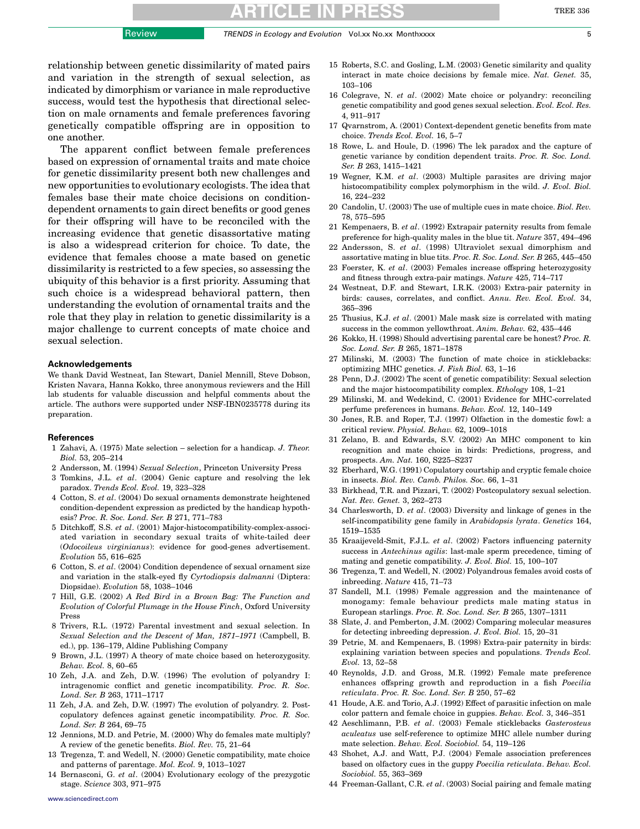<span id="page-4-0"></span>relationship between genetic dissimilarity of mated pairs and variation in the strength of sexual selection, as indicated by dimorphism or variance in male reproductive success, would test the hypothesis that directional selection on male ornaments and female preferences favoring genetically compatible offspring are in opposition to one another.

The apparent conflict between female preferences based on expression of ornamental traits and mate choice for genetic dissimilarity present both new challenges and new opportunities to evolutionary ecologists. The idea that females base their mate choice decisions on conditiondependent ornaments to gain direct benefits or good genes for their offspring will have to be reconciled with the increasing evidence that genetic disassortative mating is also a widespread criterion for choice. To date, the evidence that females choose a mate based on genetic dissimilarity is restricted to a few species, so assessing the ubiquity of this behavior is a first priority. Assuming that such choice is a widespread behavioral pattern, then understanding the evolution of ornamental traits and the role that they play in relation to genetic dissimilarity is a major challenge to current concepts of mate choice and sexual selection.

#### Acknowledgements

We thank David Westneat, Ian Stewart, Daniel Mennill, Steve Dobson, Kristen Navara, Hanna Kokko, three anonymous reviewers and the Hill lab students for valuable discussion and helpful comments about the article. The authors were supported under NSF-IBN0235778 during its preparation.

#### References

- 1 Zahavi, A. (1975) Mate selection selection for a handicap. J. Theor. Biol. 53, 205–214
- 2 Andersson, M. (1994) Sexual Selection, Princeton University Press
- 3 Tomkins, J.L. et al. (2004) Genic capture and resolving the lek paradox. Trends Ecol. Evol. 19, 323–328
- 4 Cotton, S. et al. (2004) Do sexual ornaments demonstrate heightened condition-dependent expression as predicted by the handicap hypothesis? Proc. R. Soc. Lond. Ser. B 271, 771–783
- 5 Ditchkoff, S.S. et al. (2001) Major-histocompatibility-complex-associated variation in secondary sexual traits of white-tailed deer (Odocoileus virginianus): evidence for good-genes advertisement. Evolution 55, 616–625
- 6 Cotton, S. et al. (2004) Condition dependence of sexual ornament size and variation in the stalk-eyed fly Cyrtodiopsis dalmanni (Diptera: Diopsidae). Evolution 58, 1038–1046
- 7 Hill, G.E. (2002) A Red Bird in a Brown Bag: The Function and Evolution of Colorful Plumage in the House Finch, Oxford University Press
- 8 Trivers, R.L. (1972) Parental investment and sexual selection. In Sexual Selection and the Descent of Man, 1871–1971 (Campbell, B. ed.), pp. 136–179, Aldine Publishing Company
- 9 Brown, J.L. (1997) A theory of mate choice based on heterozygosity. Behav. Ecol. 8, 60–65
- 10 Zeh, J.A. and Zeh, D.W. (1996) The evolution of polyandry I: intragenomic conflict and genetic incompatibility. Proc. R. Soc. Lond. Ser. B 263, 1711–1717
- 11 Zeh, J.A. and Zeh, D.W. (1997) The evolution of polyandry. 2. Postcopulatory defences against genetic incompatibility. Proc. R. Soc. Lond. Ser. B 264, 69–75
- 12 Jennions, M.D. and Petrie, M. (2000) Why do females mate multiply? A review of the genetic benefits. Biol. Rev. 75, 21–64
- 13 Tregenza, T. and Wedell, N. (2000) Genetic compatibility, mate choice and patterns of parentage. Mol. Ecol. 9, 1013–1027
- 14 Bernasconi, G. et al. (2004) Evolutionary ecology of the prezygotic stage. Science 303, 971–975
- 15 Roberts, S.C. and Gosling, L.M. (2003) Genetic similarity and quality interact in mate choice decisions by female mice. Nat. Genet. 35, 103–106
- 16 Colegrave, N. et al. (2002) Mate choice or polyandry: reconciling genetic compatibility and good genes sexual selection. Evol. Ecol. Res. 4, 911–917
- 17 Qvarnstrom, A. (2001) Context-dependent genetic benefits from mate choice. Trends Ecol. Evol. 16, 5–7
- 18 Rowe, L. and Houle, D. (1996) The lek paradox and the capture of genetic variance by condition dependent traits. Proc. R. Soc. Lond. Ser. B 263, 1415–1421
- 19 Wegner, K.M. et al. (2003) Multiple parasites are driving major histocompatibility complex polymorphism in the wild. J. Evol. Biol. 16, 224–232
- 20 Candolin, U. (2003) The use of multiple cues in mate choice. Biol. Rev. 78, 575–595
- 21 Kempenaers, B. et al. (1992) Extrapair paternity results from female preference for high-quality males in the blue tit. Nature 357, 494–496
- 22 Andersson, S. et al. (1998) Ultraviolet sexual dimorphism and assortative mating in blue tits. Proc. R. Soc. Lond. Ser. B 265, 445–450
- 23 Foerster, K. et al. (2003) Females increase offspring heterozygosity and fitness through extra-pair matings. Nature 425, 714–717
- 24 Westneat, D.F. and Stewart, I.R.K. (2003) Extra-pair paternity in birds: causes, correlates, and conflict. Annu. Rev. Ecol. Evol. 34, 365–396
- 25 Thusius, K.J. et al. (2001) Male mask size is correlated with mating success in the common yellowthroat. Anim. Behav. 62, 435–446
- 26 Kokko, H. (1998) Should advertising parental care be honest? Proc. R. Soc. Lond. Ser. B 265, 1871–1878
- 27 Milinski, M. (2003) The function of mate choice in sticklebacks: optimizing MHC genetics. J. Fish Biol. 63, 1–16
- 28 Penn, D.J. (2002) The scent of genetic compatibility: Sexual selection and the major histocompatibility complex. Ethology 108, 1–21
- 29 Milinski, M. and Wedekind, C. (2001) Evidence for MHC-correlated perfume preferences in humans. Behav. Ecol. 12, 140–149
- 30 Jones, R.B. and Roper, T.J. (1997) Olfaction in the domestic fowl: a critical review. Physiol. Behav. 62, 1009–1018
- 31 Zelano, B. and Edwards, S.V. (2002) An MHC component to kin recognition and mate choice in birds: Predictions, progress, and prospects. Am. Nat. 160, S225–S237
- 32 Eberhard, W.G. (1991) Copulatory courtship and cryptic female choice in insects. Biol. Rev. Camb. Philos. Soc. 66, 1–31
- 33 Birkhead, T.R. and Pizzari, T. (2002) Postcopulatory sexual selection. Nat. Rev. Genet. 3, 262–273
- 34 Charlesworth, D. et al. (2003) Diversity and linkage of genes in the self-incompatibility gene family in Arabidopsis lyrata. Genetics 164, 1519–1535
- 35 Kraaijeveld-Smit, F.J.L. et al. (2002) Factors influencing paternity success in Antechinus agilis: last-male sperm precedence, timing of mating and genetic compatibility. J. Evol. Biol. 15, 100–107
- 36 Tregenza, T. and Wedell, N. (2002) Polyandrous females avoid costs of inbreeding. Nature 415, 71–73
- 37 Sandell, M.I. (1998) Female aggression and the maintenance of monogamy: female behaviour predicts male mating status in European starlings. Proc. R. Soc. Lond. Ser. B 265, 1307–1311
- 38 Slate, J. and Pemberton, J.M. (2002) Comparing molecular measures for detecting inbreeding depression. J. Evol. Biol. 15, 20–31
- 39 Petrie, M. and Kempenaers, B. (1998) Extra-pair paternity in birds: explaining variation between species and populations. Trends Ecol. Evol. 13, 52–58
- 40 Reynolds, J.D. and Gross, M.R. (1992) Female mate preference enhances offspring growth and reproduction in a fish Poecilia reticulata. Proc. R. Soc. Lond. Ser. B 250, 57–62
- 41 Houde, A.E. and Torio, A.J. (1992) Effect of parasitic infection on male color pattern and female choice in guppies. Behav. Ecol. 3, 346–351
- 42 Aeschlimann, P.B. et al. (2003) Female sticklebacks Gasterosteus aculeatus use self-reference to optimize MHC allele number during mate selection. Behav. Ecol. Sociobiol. 54, 119–126
- 43 Shohet, A.J. and Watt, P.J. (2004) Female association preferences based on olfactory cues in the guppy Poecilia reticulata. Behav. Ecol. Sociobiol. 55, 363–369
- 44 Freeman-Gallant, C.R. et al. (2003) Social pairing and female mating